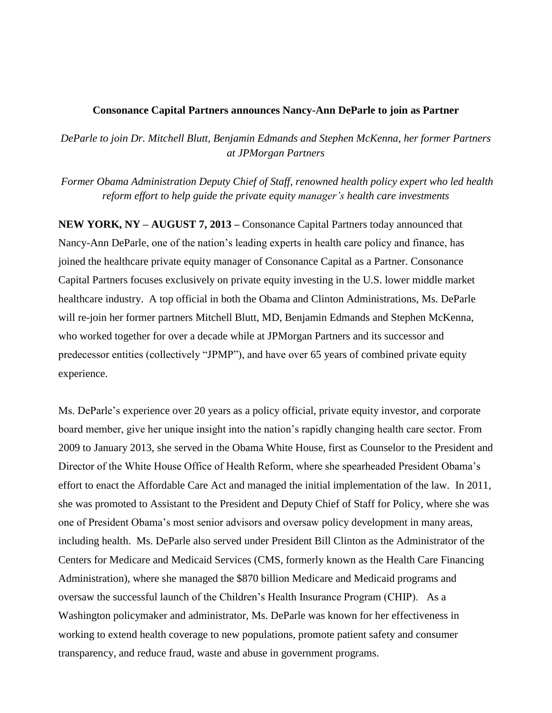## **Consonance Capital Partners announces Nancy-Ann DeParle to join as Partner**

*DeParle to join Dr. Mitchell Blutt, Benjamin Edmands and Stephen McKenna, her former Partners at JPMorgan Partners*

*Former Obama Administration Deputy Chief of Staff, renowned health policy expert who led health reform effort to help guide the private equity manager's health care investments*

**NEW YORK, NY – AUGUST 7, 2013 –** Consonance Capital Partners today announced that Nancy-Ann DeParle, one of the nation's leading experts in health care policy and finance, has joined the healthcare private equity manager of Consonance Capital as a Partner. Consonance Capital Partners focuses exclusively on private equity investing in the U.S. lower middle market healthcare industry. A top official in both the Obama and Clinton Administrations, Ms. DeParle will re-join her former partners Mitchell Blutt, MD, Benjamin Edmands and Stephen McKenna, who worked together for over a decade while at JPMorgan Partners and its successor and predecessor entities (collectively "JPMP"), and have over 65 years of combined private equity experience.

Ms. DeParle's experience over 20 years as a policy official, private equity investor, and corporate board member, give her unique insight into the nation's rapidly changing health care sector. From 2009 to January 2013, she served in the Obama White House, first as Counselor to the President and Director of the White House Office of Health Reform, where she spearheaded President Obama's effort to enact the Affordable Care Act and managed the initial implementation of the law. In 2011, she was promoted to Assistant to the President and Deputy Chief of Staff for Policy, where she was one of President Obama's most senior advisors and oversaw policy development in many areas, including health. Ms. DeParle also served under President Bill Clinton as the Administrator of the Centers for Medicare and Medicaid Services (CMS, formerly known as the Health Care Financing Administration), where she managed the \$870 billion Medicare and Medicaid programs and oversaw the successful launch of the Children's Health Insurance Program (CHIP). As a Washington policymaker and administrator, Ms. DeParle was known for her effectiveness in working to extend health coverage to new populations, promote patient safety and consumer transparency, and reduce fraud, waste and abuse in government programs.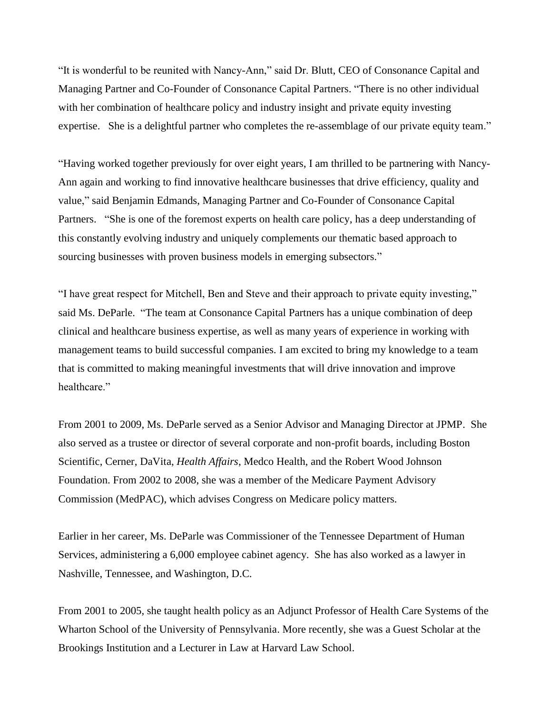"It is wonderful to be reunited with Nancy-Ann," said Dr. Blutt, CEO of Consonance Capital and Managing Partner and Co-Founder of Consonance Capital Partners. "There is no other individual with her combination of healthcare policy and industry insight and private equity investing expertise. She is a delightful partner who completes the re-assemblage of our private equity team."

"Having worked together previously for over eight years, I am thrilled to be partnering with Nancy-Ann again and working to find innovative healthcare businesses that drive efficiency, quality and value," said Benjamin Edmands, Managing Partner and Co-Founder of Consonance Capital Partners. "She is one of the foremost experts on health care policy, has a deep understanding of this constantly evolving industry and uniquely complements our thematic based approach to sourcing businesses with proven business models in emerging subsectors."

"I have great respect for Mitchell, Ben and Steve and their approach to private equity investing," said Ms. DeParle. "The team at Consonance Capital Partners has a unique combination of deep clinical and healthcare business expertise, as well as many years of experience in working with management teams to build successful companies. I am excited to bring my knowledge to a team that is committed to making meaningful investments that will drive innovation and improve healthcare."

From 2001 to 2009, Ms. DeParle served as a Senior Advisor and Managing Director at JPMP. She also served as a trustee or director of several corporate and non-profit boards, including Boston Scientific, Cerner, DaVita, *Health Affairs*, Medco Health, and the Robert Wood Johnson Foundation. From 2002 to 2008, she was a member of the Medicare Payment Advisory Commission (MedPAC), which advises Congress on Medicare policy matters.

Earlier in her career, Ms. DeParle was Commissioner of the Tennessee Department of Human Services, administering a 6,000 employee cabinet agency. She has also worked as a lawyer in Nashville, Tennessee, and Washington, D.C.

From 2001 to 2005, she taught health policy as an Adjunct Professor of Health Care Systems of the Wharton School of the University of Pennsylvania. More recently, she was a Guest Scholar at the Brookings Institution and a Lecturer in Law at Harvard Law School.